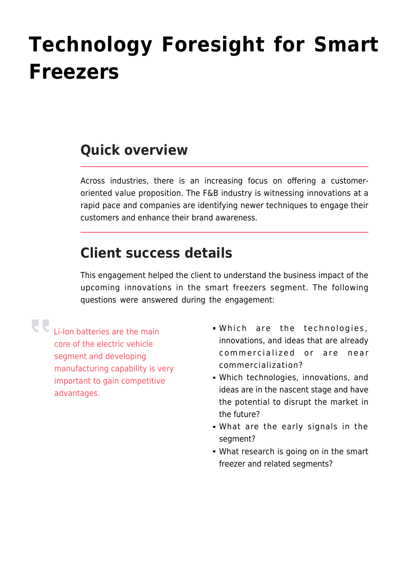## **[Technology Foresight for Smart](https://www.futurebridge.com/technology-foresight-for-smart-freezers/) [Freezers](https://www.futurebridge.com/technology-foresight-for-smart-freezers/)**

## **Quick overview**

Across industries, there is an increasing focus on offering a customeroriented value proposition. The F&B industry is witnessing innovations at a rapid pace and companies are identifying newer techniques to engage their customers and enhance their brand awareness.

## **Client success details**

This engagement helped the client to understand the business impact of the upcoming innovations in the smart freezers segment. The following questions were answered during the engagement:

Li-Ion batteries are the main core of the electric vehicle segment and developing manufacturing capability is very important to gain competitive advantages.

- Which are the technologies, innovations, and ideas that are already commercialized or are near commercialization?
- Which technologies, innovations, and ideas are in the nascent stage and have the potential to disrupt the market in the future?
- What are the early signals in the segment?
- What research is going on in the smart freezer and related segments?